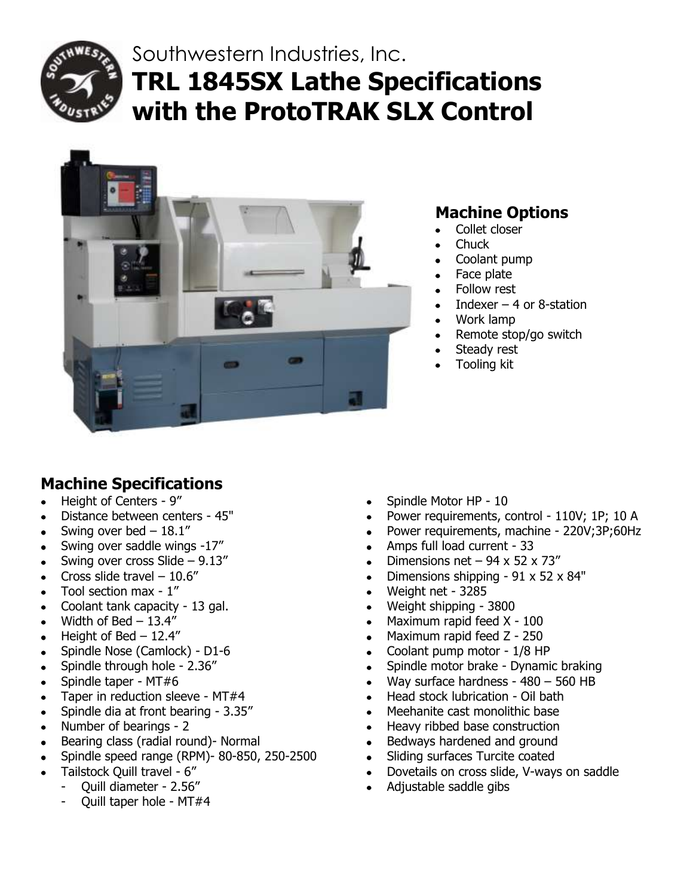

# Southwestern Industries, Inc. **TRL 1845SX Lathe Specifications with the ProtoTRAK SLX Control**



# **Machine Options**

- Collet closer
- **Chuck**
- Coolant pump
- Face plate
- Follow rest
- Indexer  $-$  4 or 8-station  $\bullet$
- Work lamp
- Remote stop/go switch  $\bullet$
- Steady rest  $\bullet$
- Tooling kit

# **Machine Specifications**

- Height of Centers 9"  $\bullet$
- Distance between centers 45"  $\bullet$
- Swing over bed  $-18.1$ "  $\bullet$
- Swing over saddle wings -17"
- Swing over cross Slide 9.13"  $\bullet$
- Cross slide travel 10.6"  $\bullet$
- Tool section max 1"  $\bullet$
- Coolant tank capacity 13 gal.  $\bullet$
- Width of Bed 13.4"
- Height of Bed 12.4"  $\bullet$
- Spindle Nose (Camlock) D1-6  $\bullet$
- Spindle through hole 2.36"  $\bullet$
- Spindle taper MT#6  $\bullet$
- Taper in reduction sleeve MT#4  $\bullet$
- Spindle dia at front bearing 3.35"  $\bullet$
- Number of bearings 2  $\bullet$
- Bearing class (radial round)- Normal
- Spindle speed range (RPM)- 80-850, 250-2500  $\bullet$
- Tailstock Quill travel 6"  $\bullet$ 
	- Quill diameter 2.56"
	- Quill taper hole MT#4
- Spindle Motor HP 10
- Power requirements, control 110V; 1P; 10 A
- Power requirements, machine 220V;3P;60Hz
- Amps full load current 33
- Dimensions net  $-94 \times 52 \times 73''$
- Dimensions shipping 91 x 52 x 84"
- Weight net 3285  $\bullet$
- Weight shipping 3800
- Maximum rapid feed X 100
- Maximum rapid feed Z 250  $\bullet$
- Coolant pump motor 1/8 HP
- Spindle motor brake Dynamic braking
- Way surface hardness 480 560 HB  $\bullet$
- Head stock lubrication Oil bath  $\bullet$
- Meehanite cast monolithic base  $\bullet$
- Heavy ribbed base construction  $\bullet$
- Bedways hardened and ground  $\bullet$
- Sliding surfaces Turcite coated  $\bullet$
- Dovetails on cross slide, V-ways on saddle  $\bullet$
- Adjustable saddle gibs  $\bullet$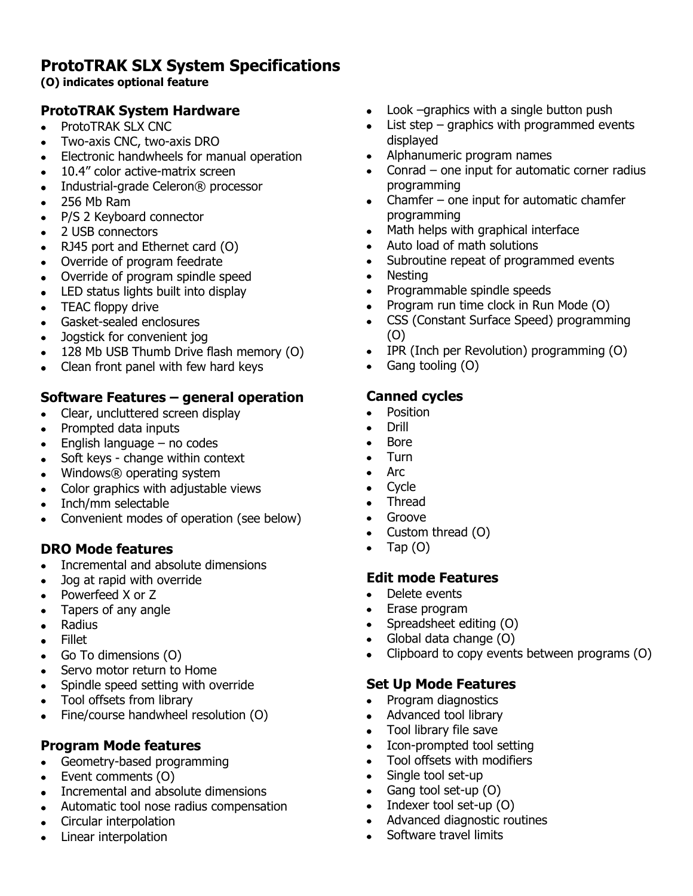## **ProtoTRAK SLX System Specifications**

#### **(O) indicates optional feature**

## **ProtoTRAK System Hardware**

- ProtoTRAK SLX CNC  $\bullet$
- Two-axis CNC, two-axis DRO  $\bullet$
- Electronic handwheels for manual operation  $\bullet$
- 10.4" color active-matrix screen  $\bullet$
- Industrial-grade Celeron® processor  $\bullet$
- 256 Mb Ram  $\bullet$
- P/S 2 Keyboard connector  $\bullet$
- 2 USB connectors
- RJ45 port and Ethernet card (O)  $\bullet$
- Override of program feedrate
- Override of program spindle speed  $\bullet$
- LED status lights built into display  $\bullet$
- TEAC floppy drive  $\bullet$
- Gasket-sealed enclosures
- Jogstick for convenient jog  $\bullet$
- $\bullet$ 128 Mb USB Thumb Drive flash memory (O)
- Clean front panel with few hard keys  $\bullet$

## **Software Features – general operation**

- Clear, uncluttered screen display  $\bullet$
- Prompted data inputs
- English language no codes  $\bullet$
- Soft keys change within context  $\bullet$
- Windows® operating system
- Color graphics with adjustable views
- Inch/mm selectable
- Convenient modes of operation (see below)  $\bullet$

## **DRO Mode features**

- Incremental and absolute dimensions  $\bullet$
- Jog at rapid with override  $\bullet$
- Powerfeed X or Z  $\bullet$
- Tapers of any angle  $\bullet$
- Radius  $\bullet$
- Fillet  $\bullet$
- Go To dimensions (O)  $\bullet$
- Servo motor return to Home  $\bullet$
- Spindle speed setting with override  $\bullet$
- Tool offsets from library
- Fine/course handwheel resolution (O)

## **Program Mode features**

- Geometry-based programming  $\bullet$
- Event comments (O)  $\bullet$
- Incremental and absolute dimensions  $\bullet$
- $\bullet$ Automatic tool nose radius compensation
- Circular interpolation  $\bullet$
- Linear interpolation  $\bullet$
- Look –graphics with a single button push  $\bullet$
- List step graphics with programmed events displayed
- Alphanumeric program names
- Conrad one input for automatic corner radius programming
- Chamfer one input for automatic chamfer  $\bullet$ programming
- Math helps with graphical interface  $\bullet$
- Auto load of math solutions
- Subroutine repeat of programmed events  $\bullet$
- Nesting  $\bullet$
- Programmable spindle speeds  $\bullet$
- Program run time clock in Run Mode (O)  $\bullet$
- CSS (Constant Surface Speed) programming  $\bullet$ (O)
- IPR (Inch per Revolution) programming (O)  $\bullet$
- Gang tooling (O)  $\bullet$

## **Canned cycles**

- Position  $\bullet$
- Drill
- Bore
- Turn  $\bullet$
- Arc  $\bullet$
- **Cycle**  $\bullet$
- $\blacksquare$ Thread
- Groove  $\bullet$
- Custom thread (O)  $\bullet$
- Tap (O)  $\bullet$

## **Edit mode Features**

- Delete events  $\bullet$
- Erase program
- Spreadsheet editing (O)  $\bullet$
- Global data change (O)  $\bullet$
- Clipboard to copy events between programs (O)

## **Set Up Mode Features**

- Program diagnostics  $\bullet$
- Advanced tool library
- Tool library file save  $\bullet$
- $\bullet$ Icon-prompted tool setting
- Tool offsets with modifiers  $\bullet$
- Single tool set-up
- Gang tool set-up (O)  $\bullet$
- Indexer tool set-up (O)  $\bullet$
- Advanced diagnostic routines  $\bullet$
- Software travel limits